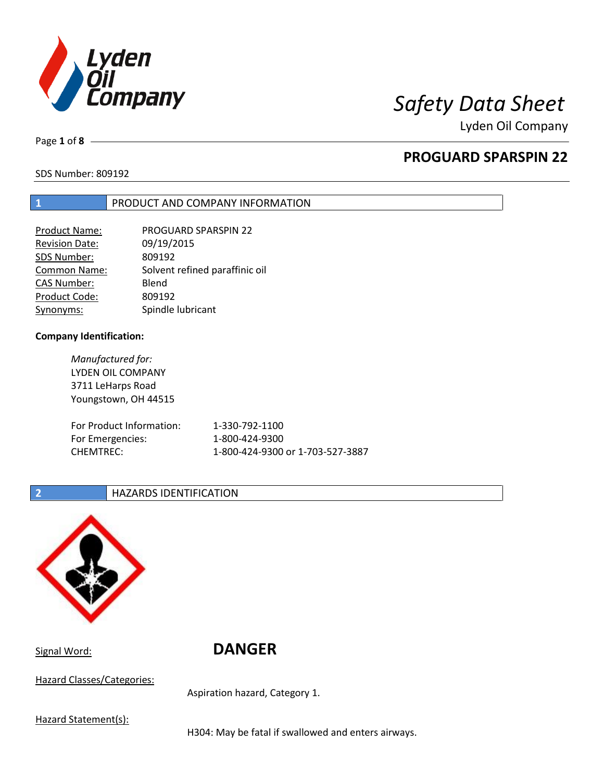

Page **1** of **8**

## **PROGUARD SPARSPIN 22**

SDS Number: 809192

### **1** PRODUCT AND COMPANY INFORMATION

| Product Name:         | <b>PROGUARD SPARSPIN 22</b>    |
|-----------------------|--------------------------------|
| <b>Revision Date:</b> | 09/19/2015                     |
| SDS Number:           | 809192                         |
| <b>Common Name:</b>   | Solvent refined paraffinic oil |
| <b>CAS Number:</b>    | Blend                          |
| Product Code:         | 809192                         |
| Synonyms:             | Spindle lubricant              |

### **Company Identification:**

*Manufactured for:* LYDEN OIL COMPANY 3711 LeHarps Road Youngstown, OH 44515 For Product Information: 1-330-792-1100 For Emergencies: 1-800-424-9300 CHEMTREC: 1-800-424-9300 or 1-703-527-3887

### **2 HAZARDS IDENTIFICATION**



Signal Word: **DANGER**

Hazard Classes/Categories:

Aspiration hazard, Category 1.

Hazard Statement(s):

H304: May be fatal if swallowed and enters airways.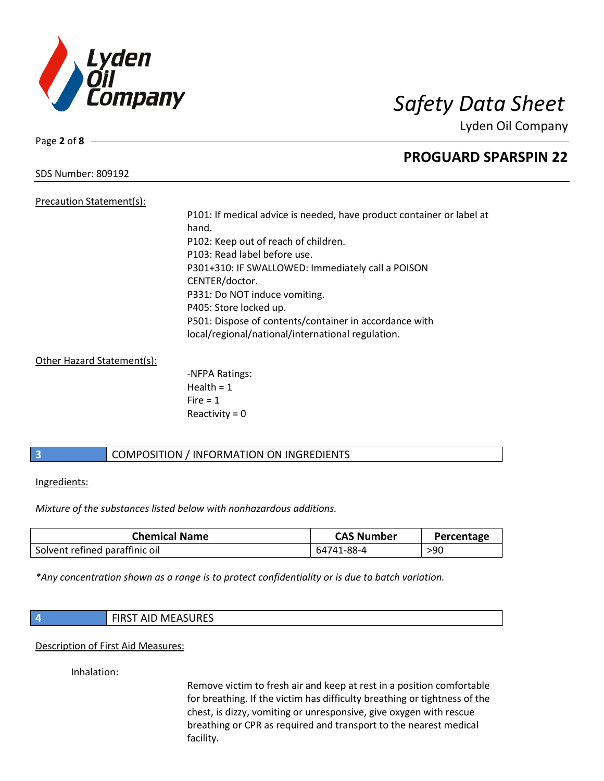

Page **2** of **8**

## **PROGUARD SPARSPIN 22**

SDS Number: 809192

Precaution Statement(s): P101: If medical advice is needed, have product container or label at hand. P102: Keep out of reach of children. P103: Read label before use. P301+310: IF SWALLOWED: Immediately call a POISON CENTER/doctor. P331: Do NOT induce vomiting. P405: Store locked up. P501: Dispose of contents/container in accordance with local/regional/national/international regulation.

Other Hazard Statement(s):

-NFPA Ratings: Health  $= 1$  $Fire = 1$ Reactivity  $= 0$ 

### **3** COMPOSITION / INFORMATION ON INGREDIENTS

Ingredients:

*Mixture of the substances listed below with nonhazardous additions.*

| <b>Chemical Name</b>           | <b>CAS Number</b> | Percentage |
|--------------------------------|-------------------|------------|
| Solvent refined paraffinic oil | 64741-88-4        | >90        |

*\*Any concentration shown as a range is to protect confidentiality or is due to batch variation.*

| `MFASURFS<br>$T$ AID $N$<br><b>IVILAJUNEJ</b> |
|-----------------------------------------------|
|-----------------------------------------------|

Description of First Aid Measures:

Inhalation:

Remove victim to fresh air and keep at rest in a position comfortable for breathing. If the victim has difficulty breathing or tightness of the chest, is dizzy, vomiting or unresponsive, give oxygen with rescue breathing or CPR as required and transport to the nearest medical facility.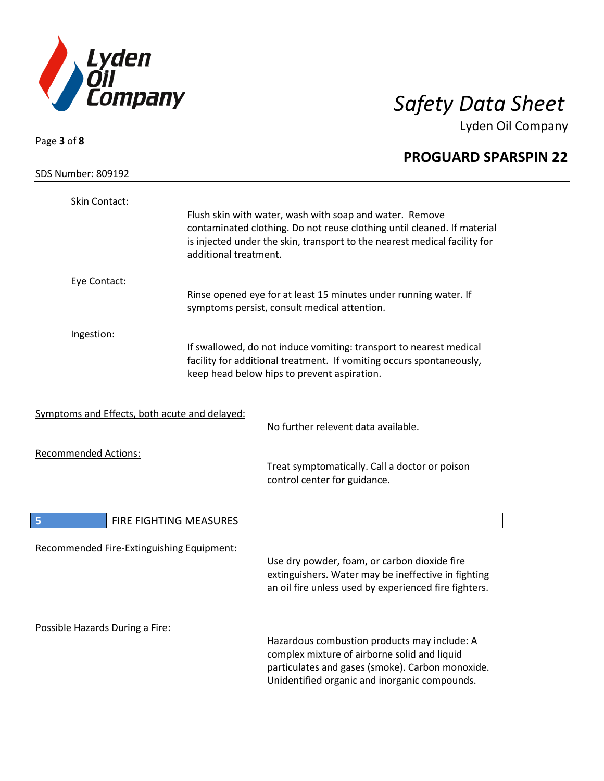

| Page $3$ of $8$ -                             |                        |                                                                                                                                    |  |
|-----------------------------------------------|------------------------|------------------------------------------------------------------------------------------------------------------------------------|--|
|                                               |                        | <b>PROGUARD SPARSPIN 22</b>                                                                                                        |  |
| <b>SDS Number: 809192</b>                     |                        |                                                                                                                                    |  |
| Skin Contact:                                 |                        |                                                                                                                                    |  |
|                                               |                        | Flush skin with water, wash with soap and water. Remove<br>contaminated clothing. Do not reuse clothing until cleaned. If material |  |
|                                               | additional treatment.  | is injected under the skin, transport to the nearest medical facility for                                                          |  |
| Eye Contact:                                  |                        |                                                                                                                                    |  |
|                                               |                        | Rinse opened eye for at least 15 minutes under running water. If<br>symptoms persist, consult medical attention.                   |  |
| Ingestion:                                    |                        |                                                                                                                                    |  |
|                                               |                        | If swallowed, do not induce vomiting: transport to nearest medical                                                                 |  |
|                                               |                        | facility for additional treatment. If vomiting occurs spontaneously,<br>keep head below hips to prevent aspiration.                |  |
| Symptoms and Effects, both acute and delayed: |                        |                                                                                                                                    |  |
|                                               |                        | No further relevent data available.                                                                                                |  |
| <b>Recommended Actions:</b>                   |                        |                                                                                                                                    |  |
|                                               |                        | Treat symptomatically. Call a doctor or poison<br>control center for guidance.                                                     |  |
| 5                                             | FIRE FIGHTING MEASURES |                                                                                                                                    |  |
|                                               |                        |                                                                                                                                    |  |
| Recommended Fire-Extinguishing Equipment:     |                        |                                                                                                                                    |  |
|                                               |                        | Use dry powder, foam, or carbon dioxide fire<br>extinguishers. Water may be ineffective in fighting                                |  |
|                                               |                        | an oil fire unless used by experienced fire fighters.                                                                              |  |
| Possible Hazards During a Fire:               |                        |                                                                                                                                    |  |
|                                               |                        | Hazardous combustion products may include: A<br>complex mixture of airborne solid and liquid                                       |  |
|                                               |                        | particulates and gases (smoke). Carbon monoxide.                                                                                   |  |
|                                               |                        | Unidentified organic and inorganic compounds.                                                                                      |  |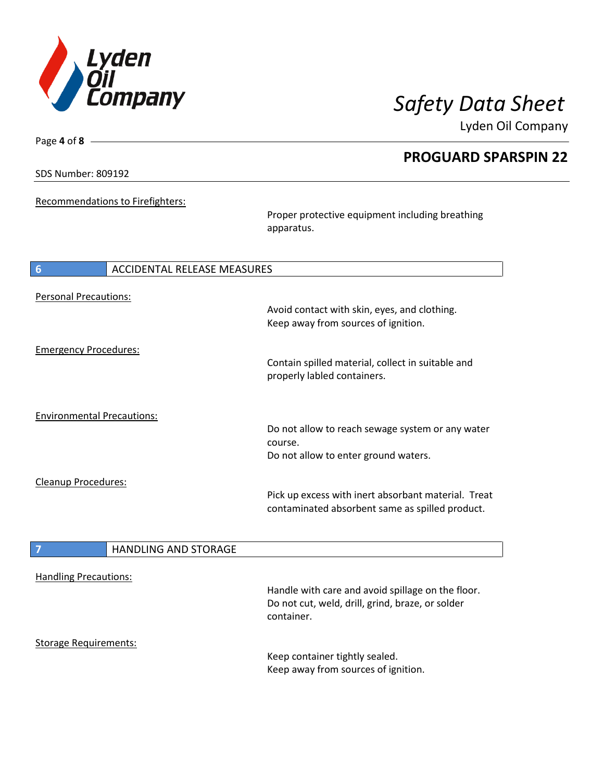

Lyden Oil Company

SDS Number: 809192

Page **4** of **8**

 $\overline{\phantom{a}}$ 

Recommendations to Firefighters:

Proper protective equipment including breathing apparatus.

| 6                                 | ACCIDENTAL RELEASE MEASURES                                                                            |
|-----------------------------------|--------------------------------------------------------------------------------------------------------|
| <b>Personal Precautions:</b>      | Avoid contact with skin, eyes, and clothing.<br>Keep away from sources of ignition.                    |
| <b>Emergency Procedures:</b>      | Contain spilled material, collect in suitable and<br>properly labled containers.                       |
| <b>Environmental Precautions:</b> | Do not allow to reach sewage system or any water<br>course.<br>Do not allow to enter ground waters.    |
| Cleanup Procedures:               | Pick up excess with inert absorbant material. Treat<br>contaminated absorbent same as spilled product. |

# **7 HANDLING AND STORAGE**

| <b>Handling Precautions:</b> |                                                                |
|------------------------------|----------------------------------------------------------------|
|                              | Handle with care and avoid spillage on the floor.              |
|                              | Do not cut, weld, drill, grind, braze, or solder<br>container. |
| <b>Storage Requirements:</b> |                                                                |
|                              | Keep container tightly sealed.                                 |
|                              | Keep away from sources of ignition.                            |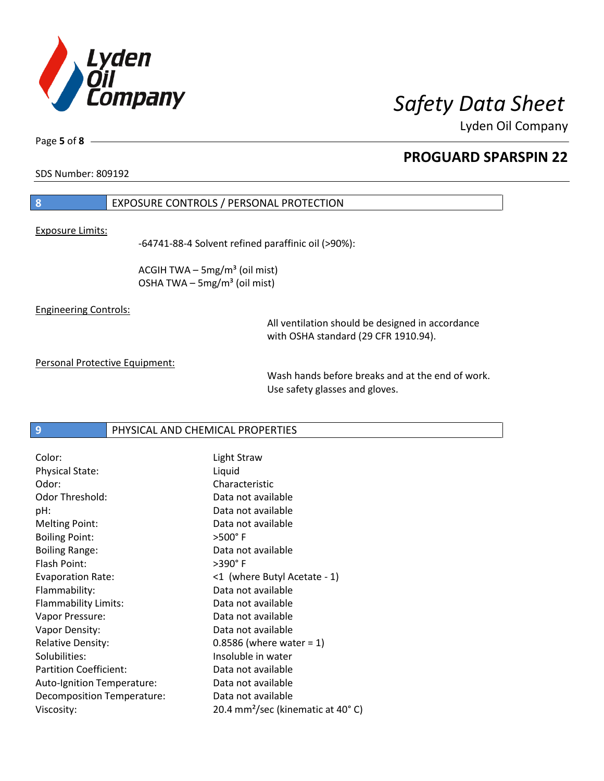

Lyden Oil Company

SDS Number: 809192

### **8** EXPOSURE CONTROLS / PERSONAL PROTECTION

Exposure Limits:

-64741-88-4 Solvent refined paraffinic oil (>90%):

ACGIH TWA  $-$  5mg/m<sup>3</sup> (oil mist) OSHA TWA  $-$  5mg/m<sup>3</sup> (oil mist)

Engineering Controls:

All ventilation should be designed in accordance with OSHA standard (29 CFR 1910.94).

Personal Protective Equipment:

Wash hands before breaks and at the end of work. Use safety glasses and gloves.

### **9** PHYSICAL AND CHEMICAL PROPERTIES

| Color:                        | Light Straw                                   |
|-------------------------------|-----------------------------------------------|
| <b>Physical State:</b>        | Liquid                                        |
| Odor:                         | Characteristic                                |
| <b>Odor Threshold:</b>        | Data not available                            |
| pH:                           | Data not available                            |
| <b>Melting Point:</b>         | Data not available                            |
| <b>Boiling Point:</b>         | $>500^\circ$ F                                |
| <b>Boiling Range:</b>         | Data not available                            |
| Flash Point:                  | $>390^\circ$ F                                |
| <b>Evaporation Rate:</b>      | <1 (where Butyl Acetate - 1)                  |
| Flammability:                 | Data not available                            |
| Flammability Limits:          | Data not available                            |
| Vapor Pressure:               | Data not available                            |
| Vapor Density:                | Data not available                            |
| <b>Relative Density:</b>      | $0.8586$ (where water = 1)                    |
| Solubilities:                 | Insoluble in water                            |
| <b>Partition Coefficient:</b> | Data not available                            |
| Auto-Ignition Temperature:    | Data not available                            |
| Decomposition Temperature:    | Data not available                            |
| Viscosity:                    | 20.4 mm <sup>2</sup> /sec (kinematic at 40°C) |

Page **5** of **8**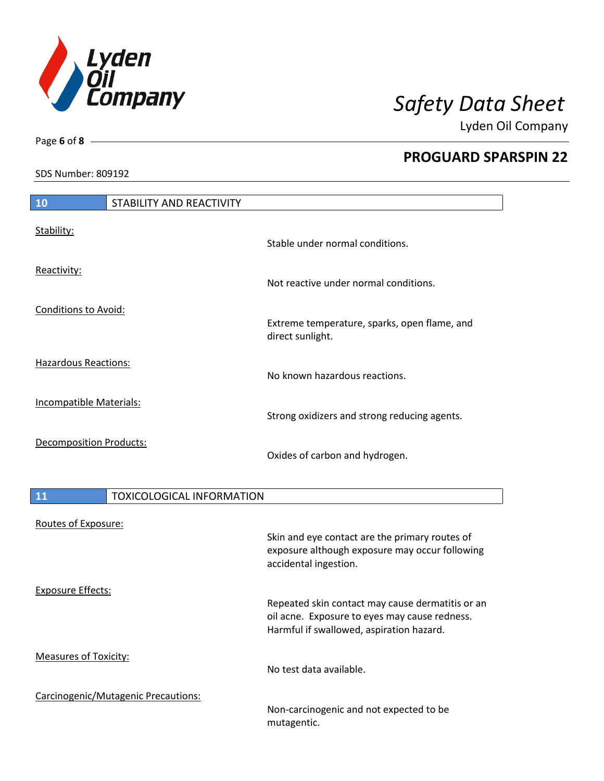

Lyden Oil Company

SDS Number: 809192

Page **6** of **8**

# **10** STABILITY AND REACTIVITY Stability: Stable under normal conditions. Reactivity: Not reactive under normal conditions. Conditions to Avoid: Extreme temperature, sparks, open flame, and direct sunlight. Hazardous Reactions: No known hazardous reactions. Incompatible Materials: Strong oxidizers and strong reducing agents. Decomposition Products: Oxides of carbon and hydrogen.

# 11 **TOXICOLOGICAL INFORMATION** Routes of Exposure: Skin and eye contact are the primary routes of exposure although exposure may occur following accidental ingestion. Exposure Effects: Repeated skin contact may cause dermatitis or an oil acne. Exposure to eyes may cause redness. Harmful if swallowed, aspiration hazard. Measures of Toxicity: No test data available. Carcinogenic/Mutagenic Precautions: Non-carcinogenic and not expected to be mutagentic.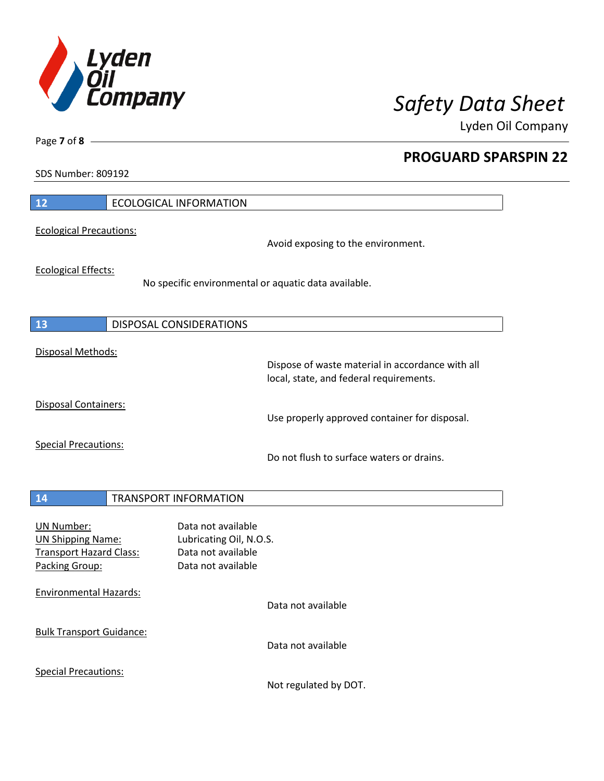

Lyden Oil Company

SDS Number: 809192

Page **7** of **8**

| 12                                                                                                | <b>ECOLOGICAL INFORMATION</b>                                                               |
|---------------------------------------------------------------------------------------------------|---------------------------------------------------------------------------------------------|
| <b>Ecological Precautions:</b>                                                                    | Avoid exposing to the environment.                                                          |
| <b>Ecological Effects:</b>                                                                        | No specific environmental or aquatic data available.                                        |
| <b>13</b>                                                                                         | <b>DISPOSAL CONSIDERATIONS</b>                                                              |
| Disposal Methods:                                                                                 | Dispose of waste material in accordance with all<br>local, state, and federal requirements. |
| Disposal Containers:                                                                              | Use properly approved container for disposal.                                               |
| <b>Special Precautions:</b>                                                                       | Do not flush to surface waters or drains.                                                   |
| <b>14</b>                                                                                         | <b>TRANSPORT INFORMATION</b>                                                                |
| <b>UN Number:</b><br><b>UN Shipping Name:</b><br><b>Transport Hazard Class:</b><br>Packing Group: | Data not available<br>Lubricating Oil, N.O.S.<br>Data not available<br>Data not available   |
| <b>Environmental Hazards:</b>                                                                     | Data not available                                                                          |
| <b>Bulk Transport Guidance:</b>                                                                   | Data not available                                                                          |
| <b>Special Precautions:</b>                                                                       |                                                                                             |

Not regulated by DOT.